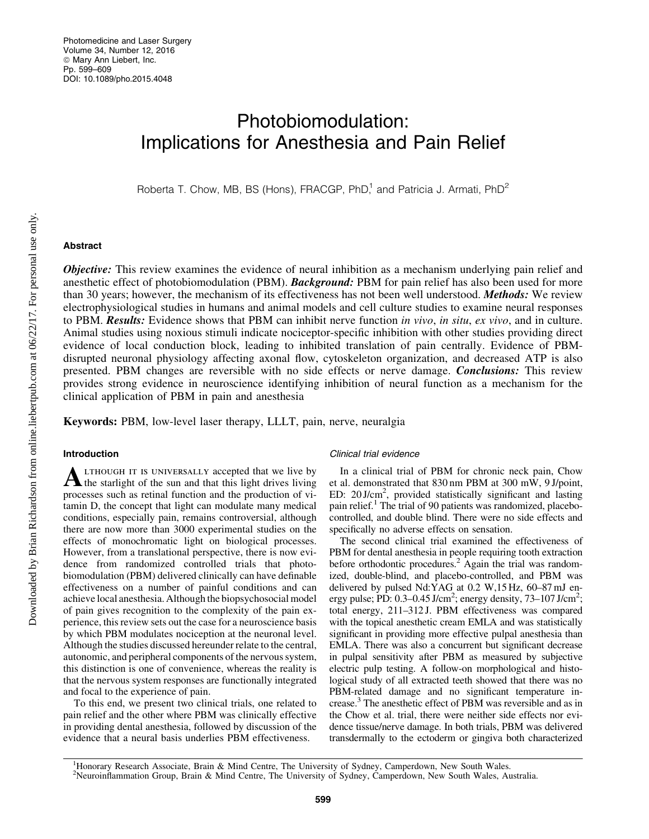# Photobiomodulation: Implications for Anesthesia and Pain Relief

Roberta T. Chow, MB, BS (Hons), FRACGP, PhD,<sup>1</sup> and Patricia J. Armati, PhD<sup>2</sup>

# Abstract

**Objective:** This review examines the evidence of neural inhibition as a mechanism underlying pain relief and anesthetic effect of photobiomodulation (PBM). Background: PBM for pain relief has also been used for more than 30 years; however, the mechanism of its effectiveness has not been well understood. Methods: We review electrophysiological studies in humans and animal models and cell culture studies to examine neural responses to PBM. Results: Evidence shows that PBM can inhibit nerve function *in vivo*, *in situ*, *ex vivo*, and in culture. Animal studies using noxious stimuli indicate nociceptor-specific inhibition with other studies providing direct evidence of local conduction block, leading to inhibited translation of pain centrally. Evidence of PBMdisrupted neuronal physiology affecting axonal flow, cytoskeleton organization, and decreased ATP is also presented. PBM changes are reversible with no side effects or nerve damage. Conclusions: This review provides strong evidence in neuroscience identifying inhibition of neural function as a mechanism for the clinical application of PBM in pain and anesthesia

Keywords: PBM, low-level laser therapy, LLLT, pain, nerve, neuralgia

# Introduction

**ALTHOUGH IT IS UNIVERSALLY accepted that we live by** the starlight of the sun and that this light drives living processes such as retinal function and the production of vitamin D, the concept that light can modulate many medical conditions, especially pain, remains controversial, although there are now more than 3000 experimental studies on the effects of monochromatic light on biological processes. However, from a translational perspective, there is now evidence from randomized controlled trials that photobiomodulation (PBM) delivered clinically can have definable effectiveness on a number of painful conditions and can achieve local anesthesia. Although the biopsychosocial model of pain gives recognition to the complexity of the pain experience, this review sets out the case for a neuroscience basis by which PBM modulates nociception at the neuronal level. Although the studies discussed hereunder relate to the central, autonomic, and peripheral components of the nervous system, this distinction is one of convenience, whereas the reality is that the nervous system responses are functionally integrated and focal to the experience of pain.

To this end, we present two clinical trials, one related to pain relief and the other where PBM was clinically effective in providing dental anesthesia, followed by discussion of the evidence that a neural basis underlies PBM effectiveness.

# Clinical trial evidence

In a clinical trial of PBM for chronic neck pain, Chow et al. demonstrated that 830 nm PBM at 300 mW, 9 J/point, ED: 20 J/cm<sup>2</sup>, provided statistically significant and lasting pain relief.<sup>1</sup> The trial of 90 patients was randomized, placebocontrolled, and double blind. There were no side effects and specifically no adverse effects on sensation.

The second clinical trial examined the effectiveness of PBM for dental anesthesia in people requiring tooth extraction before orthodontic procedures.<sup>2</sup> Again the trial was randomized, double-blind, and placebo-controlled, and PBM was delivered by pulsed Nd:YAG at 0.2 W,15 Hz, 60–87 mJ energy pulse; PD: 0.3–0.45 J/cm<sup>2</sup>; energy density, 73–107 J/cm<sup>2</sup>; total energy, 211–312 J. PBM effectiveness was compared with the topical anesthetic cream EMLA and was statistically significant in providing more effective pulpal anesthesia than EMLA. There was also a concurrent but significant decrease in pulpal sensitivity after PBM as measured by subjective electric pulp testing. A follow-on morphological and histological study of all extracted teeth showed that there was no PBM-related damage and no significant temperature increase.3 The anesthetic effect of PBM was reversible and as in the Chow et al. trial, there were neither side effects nor evidence tissue/nerve damage. In both trials, PBM was delivered transdermally to the ectoderm or gingiva both characterized

<sup>&</sup>lt;sup>1</sup>Honorary Research Associate, Brain & Mind Centre, The University of Sydney, Camperdown, New South Wales. <sup>2</sup>Neuroinflammation Group, Brain & Mind Centre, The University of Sydney, Camperdown, New South Wales, Australia.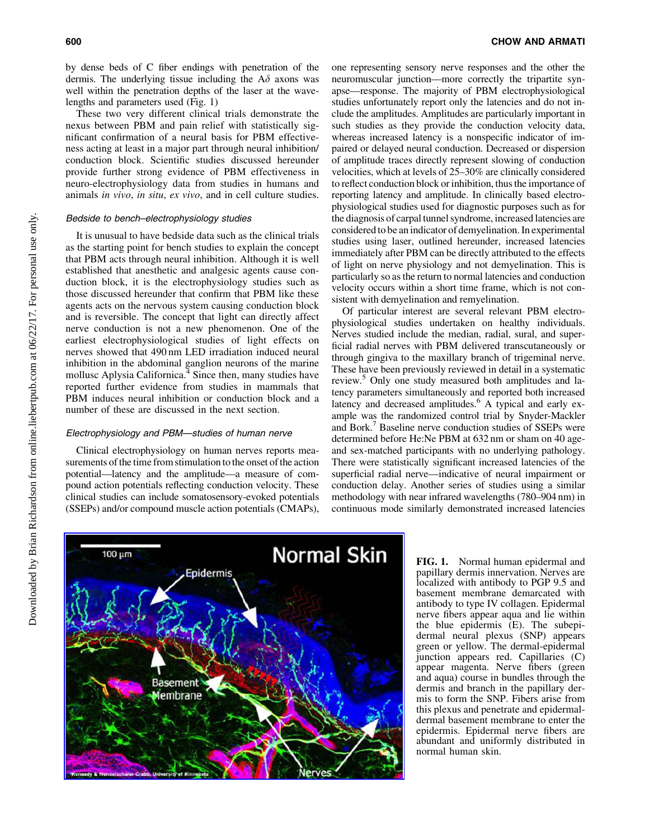by dense beds of C fiber endings with penetration of the dermis. The underlying tissue including the  $A\delta$  axons was well within the penetration depths of the laser at the wavelengths and parameters used (Fig. 1)

These two very different clinical trials demonstrate the nexus between PBM and pain relief with statistically significant confirmation of a neural basis for PBM effectiveness acting at least in a major part through neural inhibition/ conduction block. Scientific studies discussed hereunder provide further strong evidence of PBM effectiveness in neuro-electrophysiology data from studies in humans and animals *in vivo*, *in situ*, *ex vivo*, and in cell culture studies.

### Bedside to bench–electrophysiology studies

It is unusual to have bedside data such as the clinical trials as the starting point for bench studies to explain the concept that PBM acts through neural inhibition. Although it is well established that anesthetic and analgesic agents cause conduction block, it is the electrophysiology studies such as those discussed hereunder that confirm that PBM like these agents acts on the nervous system causing conduction block and is reversible. The concept that light can directly affect nerve conduction is not a new phenomenon. One of the earliest electrophysiological studies of light effects on nerves showed that 490 nm LED irradiation induced neural inhibition in the abdominal ganglion neurons of the marine mollusc Aplysia Californica.<sup>4</sup> Since then, many studies have reported further evidence from studies in mammals that PBM induces neural inhibition or conduction block and a number of these are discussed in the next section.

#### Electrophysiology and PBM—studies of human nerve

Clinical electrophysiology on human nerves reports measurements of the time from stimulation to the onset of the action potential—latency and the amplitude—a measure of compound action potentials reflecting conduction velocity. These clinical studies can include somatosensory-evoked potentials (SSEPs) and/or compound muscle action potentials (CMAPs), one representing sensory nerve responses and the other the neuromuscular junction—more correctly the tripartite synapse—response. The majority of PBM electrophysiological studies unfortunately report only the latencies and do not include the amplitudes. Amplitudes are particularly important in such studies as they provide the conduction velocity data, whereas increased latency is a nonspecific indicator of impaired or delayed neural conduction. Decreased or dispersion of amplitude traces directly represent slowing of conduction velocities, which at levels of 25–30% are clinically considered to reflect conduction block or inhibition, thus the importance of reporting latency and amplitude. In clinically based electrophysiological studies used for diagnostic purposes such as for the diagnosis of carpal tunnel syndrome, increased latencies are considered to be an indicator of demyelination. In experimental studies using laser, outlined hereunder, increased latencies immediately after PBM can be directly attributed to the effects of light on nerve physiology and not demyelination. This is particularly so as the return to normal latencies and conduction velocity occurs within a short time frame, which is not consistent with demyelination and remyelination.

Of particular interest are several relevant PBM electrophysiological studies undertaken on healthy individuals. Nerves studied include the median, radial, sural, and superficial radial nerves with PBM delivered transcutaneously or through gingiva to the maxillary branch of trigeminal nerve. These have been previously reviewed in detail in a systematic review.<sup>5</sup> Only one study measured both amplitudes and latency parameters simultaneously and reported both increased latency and decreased amplitudes.<sup>6</sup> A typical and early example was the randomized control trial by Snyder-Mackler and Bork.7 Baseline nerve conduction studies of SSEPs were determined before He:Ne PBM at 632 nm or sham on 40 ageand sex-matched participants with no underlying pathology. There were statistically significant increased latencies of the superficial radial nerve—indicative of neural impairment or conduction delay. Another series of studies using a similar methodology with near infrared wavelengths (780–904 nm) in continuous mode similarly demonstrated increased latencies



FIG. 1. Normal human epidermal and papillary dermis innervation. Nerves are localized with antibody to PGP 9.5 and basement membrane demarcated with antibody to type IV collagen. Epidermal nerve fibers appear aqua and lie within the blue epidermis (E). The subepidermal neural plexus (SNP) appears green or yellow. The dermal-epidermal junction appears red. Capillaries (C) appear magenta. Nerve fibers (green and aqua) course in bundles through the dermis and branch in the papillary dermis to form the SNP. Fibers arise from this plexus and penetrate and epidermaldermal basement membrane to enter the epidermis. Epidermal nerve fibers are abundant and uniformly distributed in normal human skin.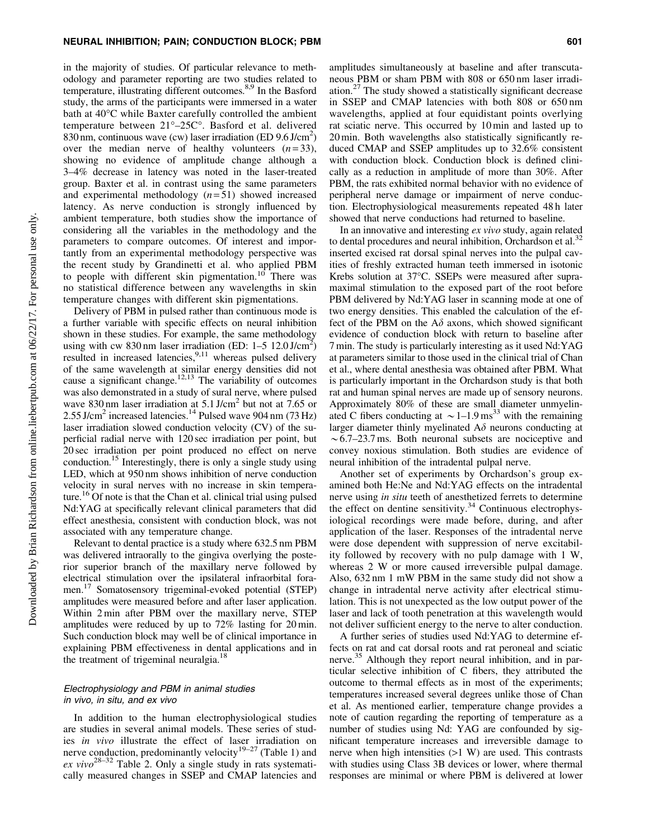in the majority of studies. Of particular relevance to methodology and parameter reporting are two studies related to temperature, illustrating different outcomes.<sup>8,9</sup> In the Basford study, the arms of the participants were immersed in a water bath at 40°C while Baxter carefully controlled the ambient temperature between 21°–25C°. Basford et al. delivered 830 nm, continuous wave (cw) laser irradiation (ED 9.6 J/cm<sup>2</sup>) over the median nerve of healthy volunteers  $(n=33)$ , showing no evidence of amplitude change although a 3–4% decrease in latency was noted in the laser-treated group. Baxter et al. in contrast using the same parameters and experimental methodology  $(n=51)$  showed increased latency. As nerve conduction is strongly influenced by ambient temperature, both studies show the importance of considering all the variables in the methodology and the parameters to compare outcomes. Of interest and importantly from an experimental methodology perspective was the recent study by Grandinetti et al. who applied PBM to people with different skin pigmentation.<sup>10</sup> There was no statistical difference between any wavelengths in skin temperature changes with different skin pigmentations.

Delivery of PBM in pulsed rather than continuous mode is a further variable with specific effects on neural inhibition shown in these studies. For example, the same methodology using with cw 830 nm laser irradiation (ED:  $1-5$  12.0 J/cm<sup>2</sup>) resulted in increased latencies,  $^{9,11}$  whereas pulsed delivery of the same wavelength at similar energy densities did not cause a significant change.<sup>12,13</sup> The variability of outcomes was also demonstrated in a study of sural nerve, where pulsed wave 830 nm laser irradiation at 5.1 J/cm<sup>2</sup> but not at 7.65 or 2.55 J/cm<sup>2</sup> increased latencies.<sup>14</sup> Pulsed wave 904 nm (73 Hz) laser irradiation slowed conduction velocity (CV) of the superficial radial nerve with 120 sec irradiation per point, but 20 sec irradiation per point produced no effect on nerve conduction.15 Interestingly, there is only a single study using LED, which at 950 nm shows inhibition of nerve conduction velocity in sural nerves with no increase in skin temperature.<sup>16</sup> Of note is that the Chan et al. clinical trial using pulsed Nd:YAG at specifically relevant clinical parameters that did effect anesthesia, consistent with conduction block, was not associated with any temperature change.

Relevant to dental practice is a study where 632.5 nm PBM was delivered intraorally to the gingiva overlying the posterior superior branch of the maxillary nerve followed by electrical stimulation over the ipsilateral infraorbital foramen.<sup>17</sup> Somatosensory trigeminal-evoked potential (STEP) amplitudes were measured before and after laser application. Within 2 min after PBM over the maxillary nerve, STEP amplitudes were reduced by up to 72% lasting for 20 min. Such conduction block may well be of clinical importance in explaining PBM effectiveness in dental applications and in the treatment of trigeminal neuralgia.<sup>18</sup>

# Electrophysiology and PBM in animal studies in vivo, in situ, and ex vivo

In addition to the human electrophysiological studies are studies in several animal models. These series of studies *in vivo* illustrate the effect of laser irradiation on nerve conduction, predominantly velocity<sup>19–27</sup> (Table 1) and *ex vivo*28–32 Table 2. Only a single study in rats systematically measured changes in SSEP and CMAP latencies and amplitudes simultaneously at baseline and after transcutaneous PBM or sham PBM with 808 or 650 nm laser irradiation.<sup>27</sup> The study showed a statistically significant decrease in SSEP and CMAP latencies with both 808 or 650 nm wavelengths, applied at four equidistant points overlying rat sciatic nerve. This occurred by 10 min and lasted up to 20 min. Both wavelengths also statistically significantly reduced CMAP and SSEP amplitudes up to 32.6% consistent with conduction block. Conduction block is defined clinically as a reduction in amplitude of more than 30%. After PBM, the rats exhibited normal behavior with no evidence of peripheral nerve damage or impairment of nerve conduction. Electrophysiological measurements repeated 48 h later showed that nerve conductions had returned to baseline.

In an innovative and interesting *ex vivo* study, again related to dental procedures and neural inhibition, Orchardson et al. $32$ inserted excised rat dorsal spinal nerves into the pulpal cavities of freshly extracted human teeth immersed in isotonic Krebs solution at 37°C. SSEPs were measured after supramaximal stimulation to the exposed part of the root before PBM delivered by Nd:YAG laser in scanning mode at one of two energy densities. This enabled the calculation of the effect of the PBM on the  $A\delta$  axons, which showed significant evidence of conduction block with return to baseline after 7 min. The study is particularly interesting as it used Nd:YAG at parameters similar to those used in the clinical trial of Chan et al., where dental anesthesia was obtained after PBM. What is particularly important in the Orchardson study is that both rat and human spinal nerves are made up of sensory neurons. Approximately 80% of these are small diameter unmyelinated C fibers conducting at  $\sim$  1–1.9 ms<sup>33</sup> with the remaining larger diameter thinly myelinated  $A\delta$  neurons conducting at  $\sim$  6.7–23.7 ms. Both neuronal subsets are nociceptive and convey noxious stimulation. Both studies are evidence of neural inhibition of the intradental pulpal nerve.

Another set of experiments by Orchardson's group examined both He:Ne and Nd:YAG effects on the intradental nerve using *in situ* teeth of anesthetized ferrets to determine the effect on dentine sensitivity.<sup>34</sup> Continuous electrophysiological recordings were made before, during, and after application of the laser. Responses of the intradental nerve were dose dependent with suppression of nerve excitability followed by recovery with no pulp damage with 1 W, whereas 2 W or more caused irreversible pulpal damage. Also, 632 nm 1 mW PBM in the same study did not show a change in intradental nerve activity after electrical stimulation. This is not unexpected as the low output power of the laser and lack of tooth penetration at this wavelength would not deliver sufficient energy to the nerve to alter conduction.

A further series of studies used Nd:YAG to determine effects on rat and cat dorsal roots and rat peroneal and sciatic nerve.<sup>35</sup> Although they report neural inhibition, and in particular selective inhibition of C fibers, they attributed the outcome to thermal effects as in most of the experiments; temperatures increased several degrees unlike those of Chan et al. As mentioned earlier, temperature change provides a note of caution regarding the reporting of temperature as a number of studies using Nd: YAG are confounded by significant temperature increases and irreversible damage to nerve when high intensities (>1 W) are used. This contrasts with studies using Class 3B devices or lower, where thermal responses are minimal or where PBM is delivered at lower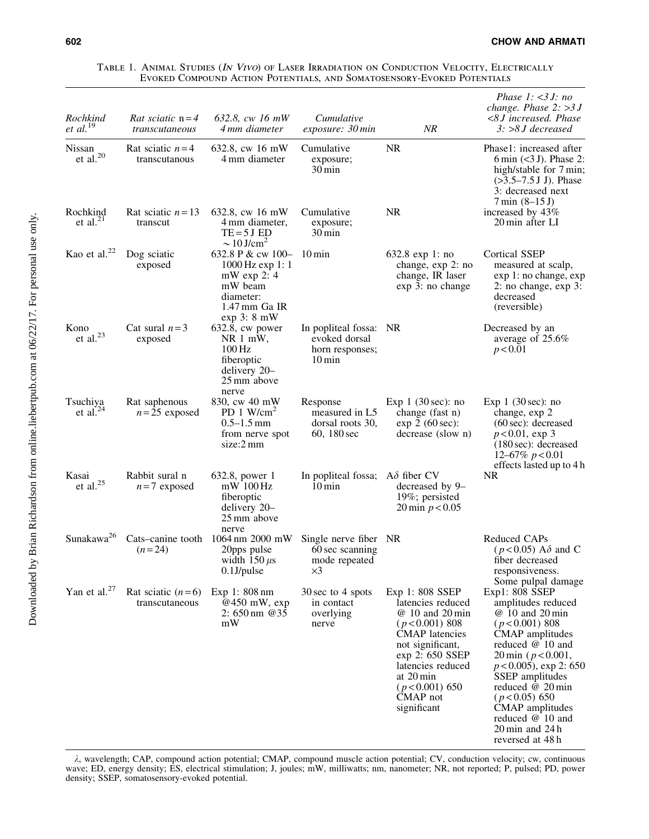| TABLE 1. ANIMAL STUDIES (IN VIVO) OF LASER IRRADIATION ON CONDUCTION VELOCITY, ELECTRICALLY |
|---------------------------------------------------------------------------------------------|
| EVOKED COMPOUND ACTION POTENTIALS, AND SOMATOSENSORY-EVOKED POTENTIALS                      |

| Rochkind<br>$et$ al. <sup>19</sup> | <i>Rat sciatic</i> $n=4$<br>transcutaneous | 632.8, cw 16 mW<br>4 mm diameter                                                                             | Cumulative<br>exposure: 30 min                                                    | NR                                                                                                                                                                                                                         | Phase $1: <3 J: no$<br>change. Phase $2: >3 J$<br>$\langle$ 8 J increased. Phase<br>$3: >8J$ decreased                                                                                                                                                                                                                                                   |
|------------------------------------|--------------------------------------------|--------------------------------------------------------------------------------------------------------------|-----------------------------------------------------------------------------------|----------------------------------------------------------------------------------------------------------------------------------------------------------------------------------------------------------------------------|----------------------------------------------------------------------------------------------------------------------------------------------------------------------------------------------------------------------------------------------------------------------------------------------------------------------------------------------------------|
| Nissan<br>et al. $^{20}$           | Rat sciatic $n=4$<br>transcutanous         | 632.8, cw 16 mW<br>4 mm diameter                                                                             | Cumulative<br>exposure;<br>$30 \,\mathrm{min}$                                    | <b>NR</b>                                                                                                                                                                                                                  | Phase1: increased after<br>$6 \text{ min } (\leq 3 \text{ J})$ . Phase 2:<br>high/stable for 7 min;<br>$(>3.5-7.5 J J)$ . Phase<br>3: decreased next<br>$7 \text{ min } (8-15 \text{ J})$                                                                                                                                                                |
| Rochkind<br>et al. $^{21}$         | Rat sciatic $n=13$<br>transcut             | 632.8, cw 16 mW<br>4 mm diameter,<br>$TE = 5JED$<br>$\sim$ 10 J/cm <sup>2</sup>                              | Cumulative<br>exposure;<br>$30 \,\mathrm{min}$                                    | <b>NR</b>                                                                                                                                                                                                                  | increased by 43%<br>20 min after LI                                                                                                                                                                                                                                                                                                                      |
| Kao et al. <sup>22</sup>           | Dog sciatic<br>exposed                     | 632.8 P & cw 100-<br>1000 Hz exp 1: 1<br>mW exp 2: 4<br>mW beam<br>diameter:<br>1.47 mm Ga IR<br>exp 3: 8 mW | $10 \,\mathrm{min}$                                                               | 632.8 exp 1: no<br>change, exp 2: no<br>change, IR laser<br>exp 3: no change                                                                                                                                               | <b>Cortical SSEP</b><br>measured at scalp,<br>exp 1: no change, exp<br>2: no change, $exp\ 3$ :<br>decreased<br>(reversible)                                                                                                                                                                                                                             |
| Kono<br>et al. $^{23}$             | Cat sural $n=3$<br>exposed                 | $632.8$ , cw power<br>$NR_1$ mW,<br>$100\,\mathrm{Hz}$<br>fiberoptic<br>delivery 20-<br>25 mm above<br>nerve | In popliteal fossa: NR<br>evoked dorsal<br>horn responses;<br>$10 \,\mathrm{min}$ |                                                                                                                                                                                                                            | Decreased by an<br>average of 25.6%<br>p < 0.01                                                                                                                                                                                                                                                                                                          |
| Tsuchiya<br>et al. $24$            | Rat saphenous<br>$n = 25$ exposed          | 830, cw 40 mW<br>PD 1 $W/cm2$<br>$0.5 - 1.5$ mm<br>from nerve spot<br>size:2 mm                              | Response<br>measured in L5<br>dorsal roots 30,<br>60, 180 sec                     | Exp $1$ (30 sec): no<br>change $(fast n)$<br>exp 2 (60 sec):<br>decrease (slow n)                                                                                                                                          | Exp $1$ (30 sec): no<br>change, exp 2<br>(60 sec): decreased<br>$p < 0.01$ , exp 3<br>$(180 \text{ sec})$ : decreased<br>12–67% $p < 0.01$<br>effects lasted up to 4 h                                                                                                                                                                                   |
| Kasai<br>et al. $^{25}$            | Rabbit sural n<br>$n=7$ exposed            | 632.8, power 1<br>$mW$ 100 Hz<br>fiberoptic<br>delivery 20-<br>25 mm above<br>nerve                          | In popliteal fossa; $A\delta$ fiber CV<br>$10 \,\mathrm{min}$                     | decreased by 9-<br>19%; persisted<br>20 min $p < 0.05$                                                                                                                                                                     | <b>NR</b>                                                                                                                                                                                                                                                                                                                                                |
| Sunakawa <sup>26</sup>             | $(n=24)$                                   | Cats-canine tooth 1064 nm 2000 mW<br>20pps pulse<br>width $150 \mu s$<br>$0.1$ J/pulse                       | Single nerve fiber NR<br>60 sec scanning<br>mode repeated<br>$\times$ 3           |                                                                                                                                                                                                                            | Reduced CAPs<br>$(p<0.05)$ A $\delta$ and C<br>fiber decreased<br>responsiveness.<br>Some pulpal damage                                                                                                                                                                                                                                                  |
| Yan et al. <sup>27</sup>           | Rat sciatic $(n=6)$<br>transcutaneous      | Exp 1: 808 nm<br>$@450$ mW, exp<br>2: $650 \text{ nm}$ @ 35<br>mW                                            | $30 \text{ sec}$ to 4 spots<br>in contact<br>overlying<br>nerve                   | Exp 1: 808 SSEP<br>latencies reduced<br>@ 10 and 20 min<br>$(p<0.001)$ 808<br><b>CMAP</b> latencies<br>not significant,<br>exp 2: 650 SSEP<br>latencies reduced<br>at 20 min<br>$(p<0.001)$ 650<br>CMAP not<br>significant | $Exp1: 808$ SSEP<br>amplitudes reduced<br>@ 10 and 20 min<br>$(p < 0.001)$ 808<br><b>CMAP</b> amplitudes<br>reduced $@10$ and<br>20 min ( $p < 0.001$ ,<br>$p < 0.005$ ), exp 2: 650<br>SSEP amplitudes<br>reduced @ 20 min<br>$(p < 0.05)$ 650<br><b>CMAP</b> amplitudes<br>reduced $@10$ and<br>$20 \text{ min}$ and $24 \text{ h}$<br>reversed at 48h |

k, wavelength; CAP, compound action potential; CMAP, compound muscle action potential; CV, conduction velocity; cw, continuous wave; ED, energy density; ES, electrical stimulation; J, joules; mW, milliwatts; nm, nanometer; NR, not reported; P, pulsed; PD, power density; SSEP, somatosensory-evoked potential.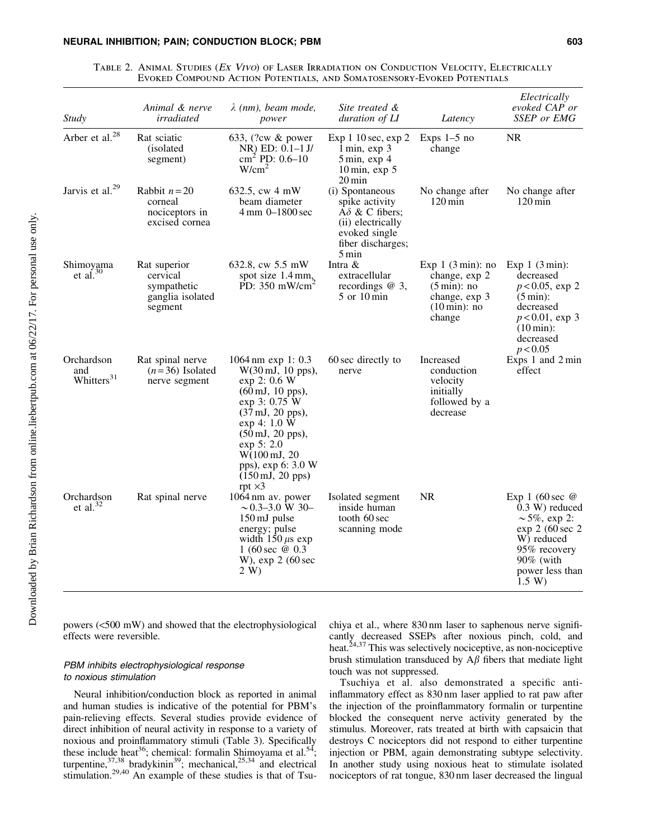|  | TABLE 2. ANIMAL STUDIES ( <i>Ex VIVO</i> ) OF LASER IRRADIATION ON CONDUCTION VELOCITY, ELECTRICALLY |  |  |
|--|------------------------------------------------------------------------------------------------------|--|--|
|  | EVOKED COMPOUND ACTION POTENTIALS, AND SOMATOSENSORY-EVOKED POTENTIALS                               |  |  |

| <b>Study</b>                                | Animal & nerve<br>irradiated                                           | $\lambda$ (nm), beam mode,<br>power                                                                                                                                                                                                                                                                                                    | Site treated &<br>duration of LI                                                                                                             | Latency                                                                                                                      | Electrically<br>evoked CAP or<br><b>SSEP</b> or <b>EMG</b>                                                                                                             |
|---------------------------------------------|------------------------------------------------------------------------|----------------------------------------------------------------------------------------------------------------------------------------------------------------------------------------------------------------------------------------------------------------------------------------------------------------------------------------|----------------------------------------------------------------------------------------------------------------------------------------------|------------------------------------------------------------------------------------------------------------------------------|------------------------------------------------------------------------------------------------------------------------------------------------------------------------|
| Arber et al. <sup>28</sup>                  | Rat sciatic<br><i>(isolated)</i><br>segment)                           | 633, (?cw & power<br>$NR)$ ED: $0.1-1$ J/<br>$\text{cm}^2$ PD: 0.6–10<br>W/cm <sup>2</sup>                                                                                                                                                                                                                                             | Exp 110 sec, exp 2<br>$1 \text{ min}$ , $\exp 3$<br>$5 \text{ min}$ , exp 4<br>$10 \text{ min}$ , exp $5$<br>20 min                          | Exps $1-5$ no<br>change                                                                                                      | <b>NR</b>                                                                                                                                                              |
| Jarvis et al. <sup>29</sup>                 | Rabbit $n=20$<br>corneal<br>nociceptors in<br>excised cornea           | 632.5, cw 4 mW<br>beam diameter<br>$4 \,\mathrm{mm}$ 0–1800 sec                                                                                                                                                                                                                                                                        | (i) Spontaneous<br>spike activity<br>$A\delta \& C$ fibers:<br>(ii) electrically<br>evoked single<br>fiber discharges;<br>$5 \,\mathrm{min}$ | No change after<br>$120 \,\mathrm{min}$                                                                                      | No change after<br>$120 \,\mathrm{min}$                                                                                                                                |
| Shimoyama<br>et al. $30$                    | Rat superior<br>cervical<br>sympathetic<br>ganglia isolated<br>segment | 632.8, cw 5.5 mW<br>spot size $1.4 \text{ mm}$ ,<br>PD: $350$ mW/cm <sup>2</sup>                                                                                                                                                                                                                                                       | Intra &<br>extracellular<br>recordings $@3,$<br>5 or 10 min                                                                                  | Exp $1(3 \text{ min})$ : no<br>change, exp 2<br>$(5 \text{ min})$ : no<br>change, exp 3<br>$(10 \text{ min})$ : no<br>change | Exp $1(3 \text{ min})$ :<br>decreased<br>$p < 0.05$ , exp 2<br>$(5 \text{ min})$ :<br>decreased<br>$p < 0.01$ , exp 3<br>$(10 \text{ min})$ :<br>decreased<br>p < 0.05 |
| Orchardson<br>and<br>Whitters <sup>31</sup> | Rat spinal nerve<br>$(n=36)$ Isolated<br>nerve segment                 | 1064 nm exp 1: 0.3<br>W(30 mJ, 10 pps),<br>exp 2: 0.6 W<br>(60 mJ, 10 pps),<br>exp 3: 0.75 W<br>$(37 \,\mathrm{mJ}, 20 \,\mathrm{pps})$ ,<br>exp 4: 1.0 W<br>$(50 \,\mathrm{mJ}, 20 \,\mathrm{pps})$ ,<br>exp 5: 2.0<br>$W(100 \,\mathrm{mJ}, 20)$<br>pps), exp 6: 3.0 W<br>$(150 \,\mathrm{mJ}, 20 \,\mathrm{pps})$<br>rpt $\times$ 3 | 60 sec directly to<br>nerve                                                                                                                  | Increased<br>conduction<br>velocity<br>initially<br>followed by a<br>decrease                                                | Exps 1 and $2 \text{ min}$<br>effect                                                                                                                                   |
| Orchardson<br>et al. $32$                   | Rat spinal nerve                                                       | 1064 nm av. power<br>$\sim$ 0.3–3.0 W 30–<br>150 mJ pulse<br>energy; pulse<br>width $150 \mu s$ exp<br>1 (60 sec $\omega$ 0.3<br>W), exp 2 (60 sec<br>2 W)                                                                                                                                                                             | Isolated segment<br>inside human<br>tooth 60 sec<br>scanning mode                                                                            | <b>NR</b>                                                                                                                    | Exp 1 (60 sec $@$<br>0.3 W) reduced<br>$\sim$ 5%, exp 2:<br>$\exp 2(60 \sec 2)$<br>W) reduced<br>95% recovery<br>90% (with<br>power less than<br>1.5 W                 |

powers (<500 mW) and showed that the electrophysiological effects were reversible.

#### PBM inhibits electrophysiological response to noxious stimulation

Neural inhibition/conduction block as reported in animal and human studies is indicative of the potential for PBM's pain-relieving effects. Several studies provide evidence of direct inhibition of neural activity in response to a variety of noxious and proinflammatory stimuli (Table 3). Specifically these include heat<sup>36</sup>; chemical: formalin Shimoyama et al.<sup>54</sup>; turpentine,  $37,38$  bradykinin $39$ ; mechanical,  $25,34$  and electrical stimulation.<sup>29,40</sup> An example of these studies is that of Tsuchiya et al., where 830 nm laser to saphenous nerve significantly decreased SSEPs after noxious pinch, cold, and heat.<sup>24,37</sup> This was selectively nociceptive, as non-nociceptive brush stimulation transduced by  $A\beta$  fibers that mediate light touch was not suppressed.

Tsuchiya et al. also demonstrated a specific antiinflammatory effect as 830 nm laser applied to rat paw after the injection of the proinflammatory formalin or turpentine blocked the consequent nerve activity generated by the stimulus. Moreover, rats treated at birth with capsaicin that destroys C nociceptors did not respond to either turpentine injection or PBM, again demonstrating subtype selectivity. In another study using noxious heat to stimulate isolated nociceptors of rat tongue, 830 nm laser decreased the lingual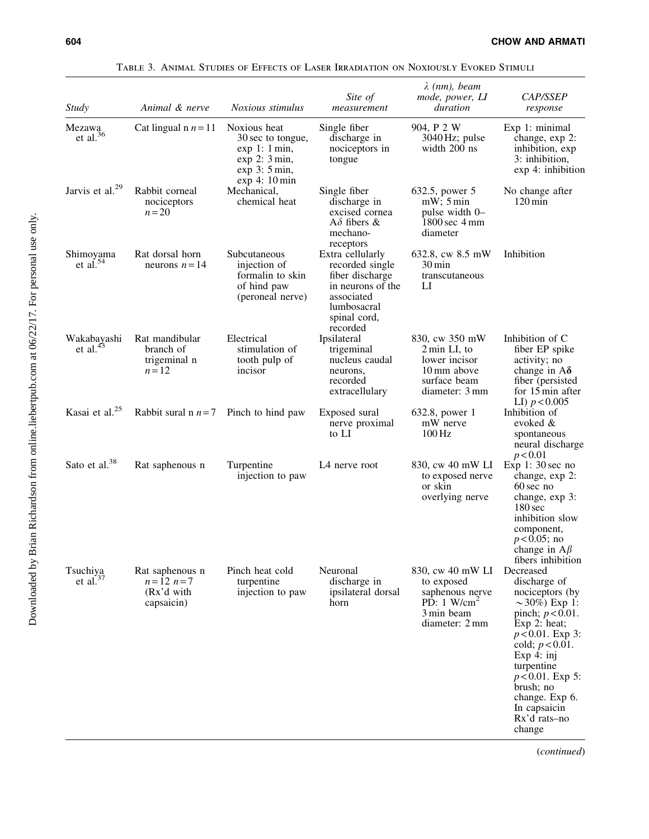| Study                               | Animal & nerve                                                             | Noxious stimulus                                                                                     | Site of<br>measurement                                                                                                               | $\lambda$ (nm), beam<br>mode, power, LI<br>duration                                                            | CAP/SSEP<br>response                                                                                                                                                                                                                                                               |
|-------------------------------------|----------------------------------------------------------------------------|------------------------------------------------------------------------------------------------------|--------------------------------------------------------------------------------------------------------------------------------------|----------------------------------------------------------------------------------------------------------------|------------------------------------------------------------------------------------------------------------------------------------------------------------------------------------------------------------------------------------------------------------------------------------|
| Mezawa<br>et al. $36$               | Cat lingual n $n = 11$                                                     | Noxious heat<br>30 sec to tongue,<br>exp 1: 1 min,<br>exp 2: 3 min,<br>exp 3: 5 min,<br>exp 4:10 min | Single fiber<br>discharge in<br>nociceptors in<br>tongue                                                                             | 904, P 2 W<br>3040 Hz; pulse<br>width 200 ns                                                                   | Exp 1: minimal<br>change, exp 2:<br>inhibition, exp<br>3: inhibition,<br>exp 4: inhibition                                                                                                                                                                                         |
| Jarvis et al. <sup>29</sup>         | Rabbit corneal<br>nociceptors<br>$n=20$                                    | Mechanical,<br>chemical heat                                                                         | Single fiber<br>discharge in<br>excised cornea<br>$A\delta$ fibers &<br>mechano-<br>receptors                                        | 632.5, power 5<br>$mW$ ; 5 min<br>pulse width 0-<br>$1800$ sec $4$ mm<br>diameter                              | No change after<br>$120 \,\mathrm{min}$                                                                                                                                                                                                                                            |
| Shimoyama<br>$et$ al. <sup>54</sup> | Rat dorsal horn<br>neurons $n = 14$                                        | Subcutaneous<br>injection of<br>formalin to skin<br>of hind paw<br>(peroneal nerve)                  | Extra cellularly<br>recorded single<br>fiber discharge<br>in neurons of the<br>associated<br>lumbosacral<br>spinal cord,<br>recorded | 632.8, cw 8.5 mW<br>30 min<br>transcutaneous<br>LI                                                             | Inhibition                                                                                                                                                                                                                                                                         |
| Wakabayashi<br>et al. $43$          | Rat mandibular<br>branch of<br>trigeminal n<br>$n=12$                      | Electrical<br>stimulation of<br>tooth pulp of<br>incisor                                             | Ipsilateral<br>trigeminal<br>nucleus caudal<br>neurons,<br>recorded<br>extracellulary                                                | 830, cw 350 mW<br>$2 \text{ min } LI$ , to<br>lower incisor<br>10 mm above<br>surface beam<br>diameter: 3 mm   | Inhibition of C<br>fiber EP spike<br>activity; no<br>change in $A\delta$<br>fiber (persisted<br>for 15 min after<br>LI) $p < 0.005$                                                                                                                                                |
| Kasai et al. <sup>25</sup>          | Rabbit sural $n = 7$ Pinch to hind paw                                     |                                                                                                      | Exposed sural<br>nerve proximal<br>to LI                                                                                             | 632.8, power 1<br>mW nerve<br>$100\,\mathrm{Hz}$                                                               | Inhibition of<br>evoked &<br>spontaneous<br>neural discharge<br>p < 0.01                                                                                                                                                                                                           |
| Sato et al. <sup>38</sup>           | Rat saphenous n                                                            | Turpentine<br>injection to paw                                                                       | L4 nerve root                                                                                                                        | 830, cw 40 mW LI<br>to exposed nerve<br>or skin<br>overlying nerve                                             | Exp 1: 30 sec no<br>change, exp 2:<br>60 sec no<br>change, exp 3:<br>$180$ sec<br>inhibition slow<br>component,<br>$p < 0.05$ ; no<br>change in $A\beta$<br>fibers inhibition                                                                                                      |
| <b>T</b> suchiya<br>et al. $37$     | Rat saphenous n<br>$n = 12 n = 7$<br>(Rx <sup>3</sup> d with<br>capsaicin) | Pinch heat cold<br>turpentine<br>injection to paw                                                    | Neuronal<br>discharge in<br>ipsilateral dorsal<br>horn                                                                               | 830, cw 40 mW LI<br>to exposed<br>saphenous nerve<br>$PD: 1$ W/cm <sup>2</sup><br>3 min beam<br>diameter: 2 mm | Decreased<br>discharge of<br>nociceptors (by<br>$\sim$ 30%) Exp 1:<br>pinch; $p < 0.01$ .<br>Exp 2: heat;<br>$p < 0.01$ . Exp 3:<br>cold; $p < 0.01$ .<br>Exp 4: inj<br>turpentine<br>$p < 0.01$ . Exp 5:<br>brush; no<br>change. Exp 6.<br>In capsaicin<br>Rx'd rats-no<br>change |

Table 3. Animal Studies of Effects of Laser Irradiation on Noxiously Evoked Stimuli

Downloaded by Brian Richardson from online.liebertpub.com at 06/22/17. For personal use only. Downloaded by Brian Richardson from online.liebertpub.com at 06/22/17. For personal use only.

(*continued*)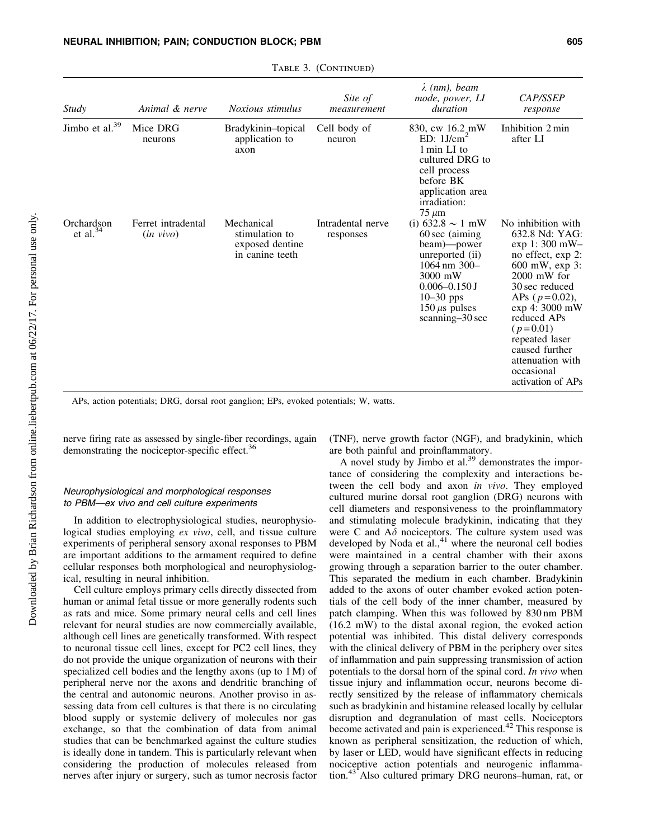| <b>Study</b>               | Animal & nerve                       | Noxious stimulus                                                   | Site of<br>measurement         | $\lambda$ (nm), beam<br>mode, power, LI<br>duration                                                                                                                                           | <b>CAP/SSEP</b><br>response                                                                                                                                                                                                                                                                            |
|----------------------------|--------------------------------------|--------------------------------------------------------------------|--------------------------------|-----------------------------------------------------------------------------------------------------------------------------------------------------------------------------------------------|--------------------------------------------------------------------------------------------------------------------------------------------------------------------------------------------------------------------------------------------------------------------------------------------------------|
| Jimbo et al. <sup>39</sup> | Mice DRG<br>neurons                  | Bradykinin-topical<br>application to<br>axon                       | Cell body of<br>neuron         | 830, cw 16.2 mW<br>ED: $1J/cm2$<br>1 min LI to<br>cultured DRG to<br>cell process<br>before BK<br>application area<br>irradiation:<br>$75 \mu m$                                              | Inhibition 2 min<br>after LI                                                                                                                                                                                                                                                                           |
| Orchardson<br>et al. $34$  | Ferret intradental<br>$(in \, vivo)$ | Mechanical<br>stimulation to<br>exposed dentine<br>in canine teeth | Intradental nerve<br>responses | (i) $632.8 \sim 1$ mW<br>60 sec (aiming<br>beam)—power<br>unreported (ii)<br>$1064 \text{ nm}$ 300-<br>3000 mW<br>$0.006 - 0.150$ J<br>$10-30$ pps<br>$150 \,\mu s$ pulses<br>scanning-30 sec | No inhibition with<br>632.8 Nd: YAG:<br>exp 1:300 mW-<br>no effect, exp 2:<br>600 mW, exp 3:<br>$2000 \text{ mW}$ for<br>30 sec reduced<br>APs ( $p=0.02$ ),<br>exp 4: 3000 mW<br>reduced APs<br>$(p=0.01)$<br>repeated laser<br>caused further<br>attenuation with<br>occasional<br>activation of APs |

TABLE 3. (CONTINUED)

APs, action potentials; DRG, dorsal root ganglion; EPs, evoked potentials; W, watts.

nerve firing rate as assessed by single-fiber recordings, again demonstrating the nociceptor-specific effect.<sup>36</sup>

### Neurophysiological and morphological responses to PBM—ex vivo and cell culture experiments

In addition to electrophysiological studies, neurophysiological studies employing *ex vivo*, cell, and tissue culture experiments of peripheral sensory axonal responses to PBM are important additions to the armament required to define cellular responses both morphological and neurophysiological, resulting in neural inhibition.

Cell culture employs primary cells directly dissected from human or animal fetal tissue or more generally rodents such as rats and mice. Some primary neural cells and cell lines relevant for neural studies are now commercially available, although cell lines are genetically transformed. With respect to neuronal tissue cell lines, except for PC2 cell lines, they do not provide the unique organization of neurons with their specialized cell bodies and the lengthy axons (up to 1 M) of peripheral nerve nor the axons and dendritic branching of the central and autonomic neurons. Another proviso in assessing data from cell cultures is that there is no circulating blood supply or systemic delivery of molecules nor gas exchange, so that the combination of data from animal studies that can be benchmarked against the culture studies is ideally done in tandem. This is particularly relevant when considering the production of molecules released from nerves after injury or surgery, such as tumor necrosis factor

(TNF), nerve growth factor (NGF), and bradykinin, which are both painful and proinflammatory.

A novel study by Jimbo et al.<sup>39</sup> demonstrates the importance of considering the complexity and interactions between the cell body and axon *in vivo*. They employed cultured murine dorsal root ganglion (DRG) neurons with cell diameters and responsiveness to the proinflammatory and stimulating molecule bradykinin, indicating that they were C and  $A\delta$  nociceptors. The culture system used was developed by Noda et  $al.,<sup>41</sup>$  where the neuronal cell bodies were maintained in a central chamber with their axons growing through a separation barrier to the outer chamber. This separated the medium in each chamber. Bradykinin added to the axons of outer chamber evoked action potentials of the cell body of the inner chamber, measured by patch clamping. When this was followed by 830 nm PBM (16.2 mW) to the distal axonal region, the evoked action potential was inhibited. This distal delivery corresponds with the clinical delivery of PBM in the periphery over sites of inflammation and pain suppressing transmission of action potentials to the dorsal horn of the spinal cord. *In vivo* when tissue injury and inflammation occur, neurons become directly sensitized by the release of inflammatory chemicals such as bradykinin and histamine released locally by cellular disruption and degranulation of mast cells. Nociceptors become activated and pain is experienced.<sup>42</sup> This response is known as peripheral sensitization, the reduction of which, by laser or LED, would have significant effects in reducing nociceptive action potentials and neurogenic inflammation.<sup>43</sup> Also cultured primary DRG neurons–human, rat, or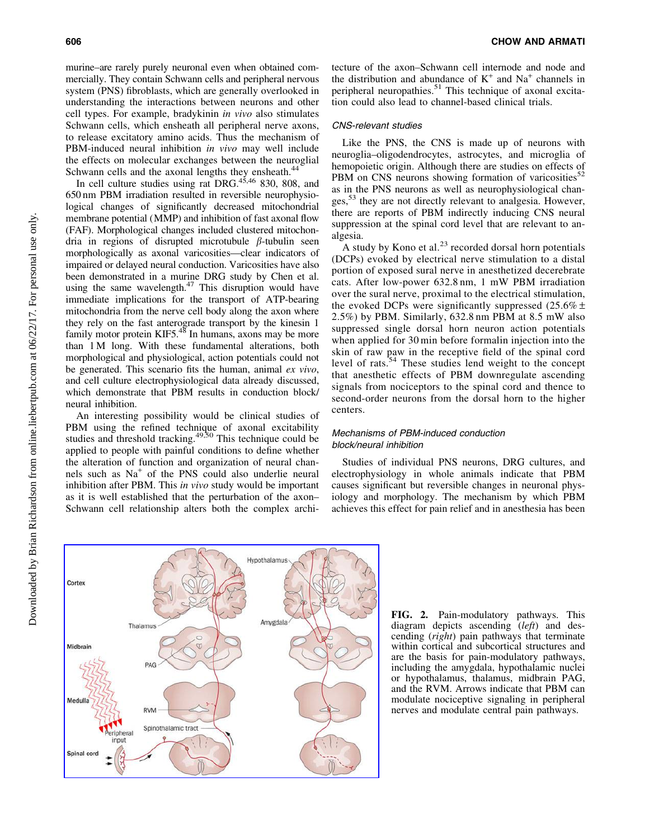murine–are rarely purely neuronal even when obtained commercially. They contain Schwann cells and peripheral nervous system (PNS) fibroblasts, which are generally overlooked in understanding the interactions between neurons and other cell types. For example, bradykinin *in vivo* also stimulates Schwann cells, which ensheath all peripheral nerve axons, to release excitatory amino acids. Thus the mechanism of PBM-induced neural inhibition *in vivo* may well include the effects on molecular exchanges between the neuroglial Schwann cells and the axonal lengths they ensheath.<sup>44</sup>

In cell culture studies using rat DRG.<sup>45,46</sup> 830, 808, and 650 nm PBM irradiation resulted in reversible neurophysiological changes of significantly decreased mitochondrial membrane potential (MMP) and inhibition of fast axonal flow (FAF). Morphological changes included clustered mitochondria in regions of disrupted microtubule  $\beta$ -tubulin seen morphologically as axonal varicosities—clear indicators of impaired or delayed neural conduction. Varicosities have also been demonstrated in a murine DRG study by Chen et al. using the same wavelength. $47$  This disruption would have immediate implications for the transport of ATP-bearing mitochondria from the nerve cell body along the axon where they rely on the fast anterograde transport by the kinesin 1 family motor protein KIF5.<sup>48</sup> In humans, axons may be more than 1 M long. With these fundamental alterations, both morphological and physiological, action potentials could not be generated. This scenario fits the human, animal *ex vivo*, and cell culture electrophysiological data already discussed, which demonstrate that PBM results in conduction block/ neural inhibition.

An interesting possibility would be clinical studies of PBM using the refined technique of axonal excitability studies and threshold tracking. $49,50$  This technique could be applied to people with painful conditions to define whether the alteration of function and organization of neural channels such as Na<sup>+</sup> of the PNS could also underlie neural inhibition after PBM. This *in vivo* study would be important as it is well established that the perturbation of the axon– Schwann cell relationship alters both the complex architecture of the axon–Schwann cell internode and node and the distribution and abundance of  $K^+$  and  $Na^+$  channels in peripheral neuropathies.<sup>51</sup> This technique of axonal excitation could also lead to channel-based clinical trials.

#### CNS-relevant studies

Like the PNS, the CNS is made up of neurons with neuroglia–oligodendrocytes, astrocytes, and microglia of hemopoietic origin. Although there are studies on effects of PBM on CNS neurons showing formation of varicosities $52$ as in the PNS neurons as well as neurophysiological changes,<sup>53</sup> they are not directly relevant to analgesia. However, there are reports of PBM indirectly inducing CNS neural suppression at the spinal cord level that are relevant to analgesia.

A study by Kono et al. $^{23}$  recorded dorsal horn potentials (DCPs) evoked by electrical nerve stimulation to a distal portion of exposed sural nerve in anesthetized decerebrate cats. After low-power 632.8 nm, 1 mW PBM irradiation over the sural nerve, proximal to the electrical stimulation, the evoked DCPs were significantly suppressed  $(25.6\% \pm$ 2.5%) by PBM. Similarly, 632.8 nm PBM at 8.5 mW also suppressed single dorsal horn neuron action potentials when applied for 30 min before formalin injection into the skin of raw paw in the receptive field of the spinal cord level of rats.<sup>54</sup> These studies lend weight to the concept that anesthetic effects of PBM downregulate ascending signals from nociceptors to the spinal cord and thence to second-order neurons from the dorsal horn to the higher centers.

#### Mechanisms of PBM-induced conduction block/neural inhibition

Studies of individual PNS neurons, DRG cultures, and electrophysiology in whole animals indicate that PBM causes significant but reversible changes in neuronal physiology and morphology. The mechanism by which PBM achieves this effect for pain relief and in anesthesia has been



FIG. 2. Pain-modulatory pathways. This diagram depicts ascending (*left*) and descending (*right*) pain pathways that terminate within cortical and subcortical structures and are the basis for pain-modulatory pathways, including the amygdala, hypothalamic nuclei or hypothalamus, thalamus, midbrain PAG, and the RVM. Arrows indicate that PBM can modulate nociceptive signaling in peripheral nerves and modulate central pain pathways.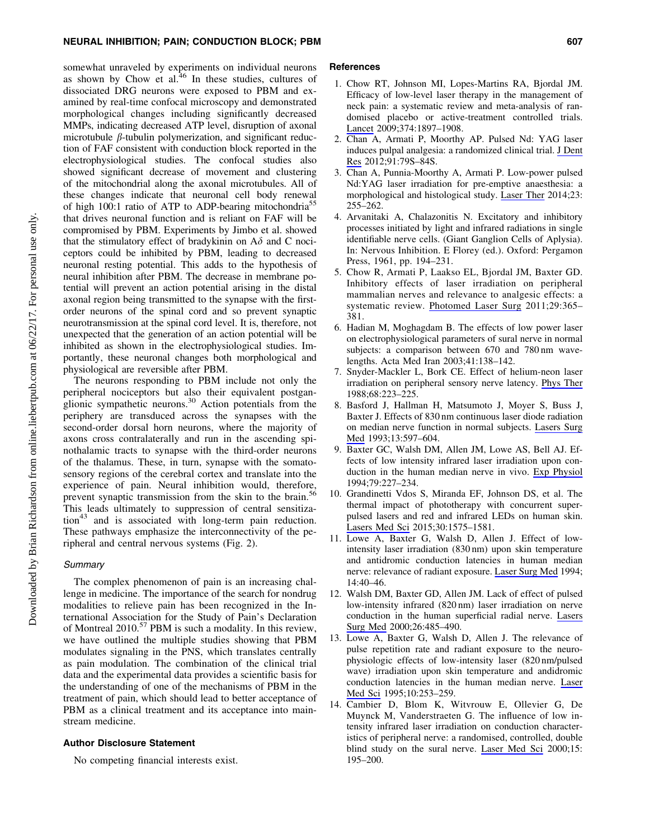#### NEURAL INHIBITION; PAIN; CONDUCTION BLOCK; PBM 607

somewhat unraveled by experiments on individual neurons as shown by Chow et al. $46$  In these studies, cultures of dissociated DRG neurons were exposed to PBM and examined by real-time confocal microscopy and demonstrated morphological changes including significantly decreased MMPs, indicating decreased ATP level, disruption of axonal microtubule  $\beta$ -tubulin polymerization, and significant reduction of FAF consistent with conduction block reported in the electrophysiological studies. The confocal studies also showed significant decrease of movement and clustering of the mitochondrial along the axonal microtubules. All of these changes indicate that neuronal cell body renewal of high 100:1 ratio of ATP to ADP-bearing mitochondria<sup>55</sup> that drives neuronal function and is reliant on FAF will be compromised by PBM. Experiments by Jimbo et al. showed that the stimulatory effect of bradykinin on  $A\delta$  and C nociceptors could be inhibited by PBM, leading to decreased neuronal resting potential. This adds to the hypothesis of neural inhibition after PBM. The decrease in membrane potential will prevent an action potential arising in the distal axonal region being transmitted to the synapse with the firstorder neurons of the spinal cord and so prevent synaptic neurotransmission at the spinal cord level. It is, therefore, not unexpected that the generation of an action potential will be inhibited as shown in the electrophysiological studies. Importantly, these neuronal changes both morphological and physiological are reversible after PBM.

The neurons responding to PBM include not only the peripheral nociceptors but also their equivalent postganglionic sympathetic neurons.<sup>30</sup> Action potentials from the periphery are transduced across the synapses with the second-order dorsal horn neurons, where the majority of axons cross contralaterally and run in the ascending spinothalamic tracts to synapse with the third-order neurons of the thalamus. These, in turn, synapse with the somatosensory regions of the cerebral cortex and translate into the experience of pain. Neural inhibition would, therefore, prevent synaptic transmission from the skin to the brain.<sup>56</sup> This leads ultimately to suppression of central sensitization<sup>43</sup> and is associated with long-term pain reduction. These pathways emphasize the interconnectivity of the peripheral and central nervous systems (Fig. 2).

# **Summary**

The complex phenomenon of pain is an increasing challenge in medicine. The importance of the search for nondrug modalities to relieve pain has been recognized in the International Association for the Study of Pain's Declaration of Montreal  $2010$ .<sup>57</sup> PBM is such a modality. In this review, we have outlined the multiple studies showing that PBM modulates signaling in the PNS, which translates centrally as pain modulation. The combination of the clinical trial data and the experimental data provides a scientific basis for the understanding of one of the mechanisms of PBM in the treatment of pain, which should lead to better acceptance of PBM as a clinical treatment and its acceptance into mainstream medicine.

#### Author Disclosure Statement

No competing financial interests exist.

#### **References**

- 1. Chow RT, Johnson MI, Lopes-Martins RA, Bjordal JM. Efficacy of low-level laser therapy in the management of neck pain: a systematic review and meta-analysis of randomised placebo or active-treatment controlled trials. [Lancet](http://online.liebertpub.com/action/showLinks?doi=10.1089%2Fpho.2015.4048&pmid=19913903&crossref=10.1016%2FS0140-6736%2809%2961522-1&citationId=p_102) 2009;374:1897–1908.
- 2. Chan A, Armati P, Moorthy AP. Pulsed Nd: YAG laser induces pulpal analgesia: a randomized clinical trial. [J Dent](http://online.liebertpub.com/action/showLinks?doi=10.1089%2Fpho.2015.4048&pmid=22699673&crossref=10.1177%2F0022034512447947&citationId=p_103) [Res](http://online.liebertpub.com/action/showLinks?doi=10.1089%2Fpho.2015.4048&pmid=22699673&crossref=10.1177%2F0022034512447947&citationId=p_103) 2012;91:79S–84S.
- 3. Chan A, Punnia-Moorthy A, Armati P. Low-power pulsed Nd:YAG laser irradiation for pre-emptive anaesthesia: a morphological and histological study. [Laser Ther](http://online.liebertpub.com/action/showLinks?doi=10.1089%2Fpho.2015.4048&pmid=25705081&crossref=10.5978%2Fislsm.14-OR-19&citationId=p_104) 2014;23: 255–262.
- 4. Arvanitaki A, Chalazonitis N. Excitatory and inhibitory processes initiated by light and infrared radiations in single identifiable nerve cells. (Giant Ganglion Cells of Aplysia). In: Nervous Inhibition. E Florey (ed.). Oxford: Pergamon Press, 1961, pp. 194–231.
- 5. Chow R, Armati P, Laakso EL, Bjordal JM, Baxter GD. Inhibitory effects of laser irradiation on peripheral mammalian nerves and relevance to analgesic effects: a systematic review. [Photomed Laser Surg](http://online.liebertpub.com/action/showLinks?doi=10.1089%2Fpho.2015.4048&system=10.1089%2Fpho.2010.2928&citationId=p_106) 2011;29:365– 381.
- 6. Hadian M, Moghagdam B. The effects of low power laser on electrophysiological parameters of sural nerve in normal subjects: a comparison between 670 and 780 nm wavelengths. Acta Med Iran 2003;41:138–142.
- 7. Snyder-Mackler L, Bork CE. Effect of helium-neon laser irradiation on peripheral sensory nerve latency. [Phys Ther](http://online.liebertpub.com/action/showLinks?doi=10.1089%2Fpho.2015.4048&pmid=3340661&citationId=p_108) 1988;68:223–225.
- 8. Basford J, Hallman H, Matsumoto J, Moyer S, Buss J, Baxter J. Effects of 830 nm continuous laser diode radiation on median nerve function in normal subjects. [Lasers Surg](http://online.liebertpub.com/action/showLinks?doi=10.1089%2Fpho.2015.4048&pmid=8295467&crossref=10.1002%2Flsm.1900130602&citationId=p_109) [Med](http://online.liebertpub.com/action/showLinks?doi=10.1089%2Fpho.2015.4048&pmid=8295467&crossref=10.1002%2Flsm.1900130602&citationId=p_109) 1993;13:597–604.
- 9. Baxter GC, Walsh DM, Allen JM, Lowe AS, Bell AJ. Effects of low intensity infrared laser irradiation upon conduction in the human median nerve in vivo. [Exp Physiol](http://online.liebertpub.com/action/showLinks?doi=10.1089%2Fpho.2015.4048&pmid=8003306&crossref=10.1113%2Fexpphysiol.1994.sp003755&citationId=p_110) 1994;79:227–234.
- 10. Grandinetti Vdos S, Miranda EF, Johnson DS, et al. The thermal impact of phototherapy with concurrent superpulsed lasers and red and infrared LEDs on human skin. [Lasers Med Sci](http://online.liebertpub.com/action/showLinks?doi=10.1089%2Fpho.2015.4048&pmid=25987340&crossref=10.1007%2Fs10103-015-1755-0&citationId=p_111) 2015;30:1575–1581.
- 11. Lowe A, Baxter G, Walsh D, Allen J. Effect of lowintensity laser irradiation (830 nm) upon skin temperature and antidromic conduction latencies in human median nerve: relevance of radiant exposure. [Laser Surg Med](http://online.liebertpub.com/action/showLinks?doi=10.1089%2Fpho.2015.4048&pmid=8127206&crossref=10.1002%2Flsm.1900140111&citationId=p_112) 1994; 14:40–46.
- 12. Walsh DM, Baxter GD, Allen JM. Lack of effect of pulsed low-intensity infrared (820 nm) laser irradiation on nerve conduction in the human superficial radial nerve. [Lasers](http://online.liebertpub.com/action/showLinks?doi=10.1089%2Fpho.2015.4048&pmid=10861704&crossref=10.1002%2F1096-9101%282000%2926%3A5%3C485%3A%3AAID-LSM8%3E3.0.CO%3B2-6&citationId=p_113) [Surg Med](http://online.liebertpub.com/action/showLinks?doi=10.1089%2Fpho.2015.4048&pmid=10861704&crossref=10.1002%2F1096-9101%282000%2926%3A5%3C485%3A%3AAID-LSM8%3E3.0.CO%3B2-6&citationId=p_113) 2000;26:485–490.
- 13. Lowe A, Baxter G, Walsh D, Allen J. The relevance of pulse repetition rate and radiant exposure to the neurophysiologic effects of low-intensity laser (820 nm/pulsed wave) irradiation upon skin temperature and andidromic conduction latencies in the human median nerve. [Laser](http://online.liebertpub.com/action/showLinks?doi=10.1089%2Fpho.2015.4048&crossref=10.1007%2FBF02133617&citationId=p_114) [Med Sci](http://online.liebertpub.com/action/showLinks?doi=10.1089%2Fpho.2015.4048&crossref=10.1007%2FBF02133617&citationId=p_114) 1995;10:253–259.
- 14. Cambier D, Blom K, Witvrouw E, Ollevier G, De Muynck M, Vanderstraeten G. The influence of low intensity infrared laser irradiation on conduction characteristics of peripheral nerve: a randomised, controlled, double blind study on the sural nerve. [Laser Med Sci](http://online.liebertpub.com/action/showLinks?doi=10.1089%2Fpho.2015.4048&crossref=10.1007%2FPL00011317&citationId=p_115) 2000;15: 195–200.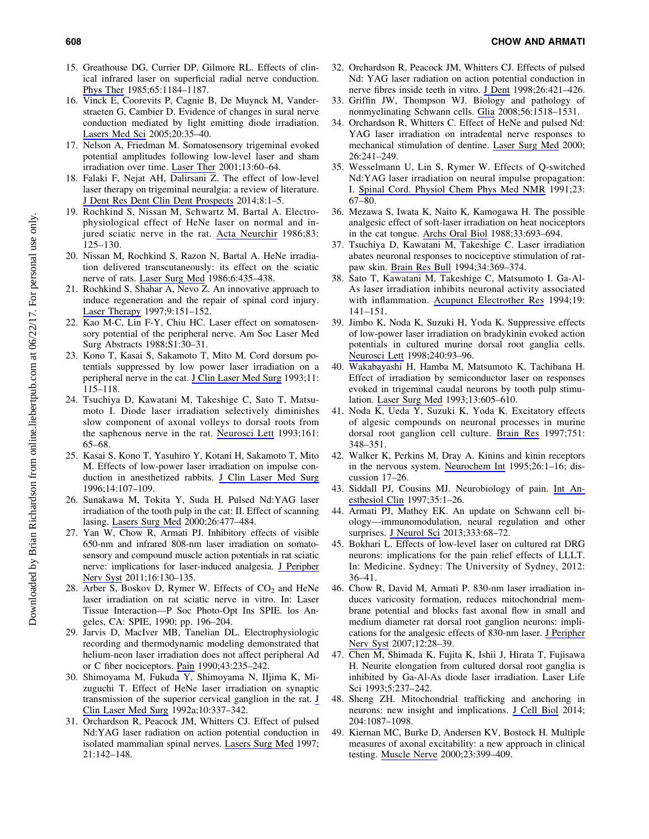- 15. Greathouse DG, Currier DP, Gilmore RL. Effects of clinical infrared laser on superficial radial nerve conduction. [Phys Ther](http://online.liebertpub.com/action/showLinks?doi=10.1089%2Fpho.2015.4048&pmid=4023064&citationId=p_116) 1985;65:1184–1187.
- 16. Vinck E, Coorevits P, Cagnie B, De Muynck M, Vanderstraeten G, Cambier D. Evidence of changes in sural nerve conduction mediated by light emitting diode irradiation. [Lasers Med Sci](http://online.liebertpub.com/action/showLinks?doi=10.1089%2Fpho.2015.4048&pmid=15895289&crossref=10.1007%2Fs10103-005-0333-2&citationId=p_117) 2005;20:35–40.
- 17. Nelson A, Friedman M. Somatosensory trigeminal evoked potential amplitudes following low-level laser and sham irradiation over time. [Laser Ther](http://online.liebertpub.com/action/showLinks?doi=10.1089%2Fpho.2015.4048&crossref=10.5978%2Fislsm.13.60&citationId=p_118) 2001;13:60–64.
- 18. Falaki F, Nejat AH, Dalirsani Z. The effect of low-level laser therapy on trigeminal neuralgia: a review of literature. [J Dent Res Dent Clin Dent Prospects](http://online.liebertpub.com/action/showLinks?doi=10.1089%2Fpho.2015.4048&pmid=25024832&citationId=p_119) 2014;8:1–5.
- 19. Rochkind S, Nissan M, Schwartz M, Bartal A. Electrophysiological effect of HeNe laser on normal and injured sciatic nerve in the rat. [Acta Neurchir](http://online.liebertpub.com/action/showLinks?doi=10.1089%2Fpho.2015.4048&pmid=3028047&crossref=10.1007%2FBF01402391&citationId=p_120) 1986;83: 125–130.
- 20. Nissan M, Rochkind S, Razon N, Bartal A. HeNe irradiation delivered transcutaneously: its effect on the sciatic nerve of rats. [Laser Surg Med](http://online.liebertpub.com/action/showLinks?doi=10.1089%2Fpho.2015.4048&pmid=3807630&crossref=10.1002%2Flsm.1900060502&citationId=p_121) 1986;6:435–438.
- 21. Rochkind S, Shahar A, Nevo Z. An innovative approach to induce regeneration and the repair of spinal cord injury. [Laser Therapy](http://online.liebertpub.com/action/showLinks?doi=10.1089%2Fpho.2015.4048&crossref=10.5978%2Fislsm.9.151&citationId=p_122) 1997;9:151–152.
- 22. Kao M-C, Lin F-Y, Chiu HC. Laser effect on somatosensory potential of the peripheral nerve. Am Soc Laser Med Surg Abstracts 1988;S1:30–31.
- 23. Kono T, Kasai S, Sakamoto T, Mito M. Cord dorsum potentials suppressed by low power laser irradiation on a peripheral nerve in the cat. [J Clin Laser Med Surg](http://online.liebertpub.com/action/showLinks?doi=10.1089%2Fpho.2015.4048&system-d=10.1089%2Fclm.1993.11.115&citationId=p_124) 1993;11: 115–118.
- 24. Tsuchiya D, Kawatani M, Takeshige C, Sato T, Matsumoto I. Diode laser irradiation selectively diminishes slow component of axonal volleys to dorsal roots from the saphenous nerve in the rat. [Neurosci Lett](http://online.liebertpub.com/action/showLinks?doi=10.1089%2Fpho.2015.4048&pmid=8255549&crossref=10.1016%2F0304-3940%2893%2990141-7&citationId=p_125) 1993;161: 65–68.
- 25. Kasai S, Kono T, Yasuhiro Y, Kotani H, Sakamoto T, Mito M. Effects of low-power laser irradiation on impulse conduction in anesthetized rabbits. [J Clin Laser Med Surg](http://online.liebertpub.com/action/showLinks?doi=10.1089%2Fpho.2015.4048&system-d=10.1089%2Fclm.1996.14.107&citationId=p_126) 1996;14:107–109.
- 26. Sunakawa M, Tokita Y, Suda H. Pulsed Nd:YAG laser irradiation of the tooth pulp in the cat: II. Effect of scanning lasing. [Lasers Surg Med](http://online.liebertpub.com/action/showLinks?doi=10.1089%2Fpho.2015.4048&pmid=10861703&crossref=10.1002%2F1096-9101%282000%2926%3A5%3C477%3A%3AAID-LSM7%3E3.0.CO%3B2-4&citationId=p_127) 2000;26:477–484.
- 27. Yan W, Chow R, Armati PJ. Inhibitory effects of visible 650-nm and infrared 808-nm laser irradiation on somatosensory and compound muscle action potentials in rat sciatic nerve: implications for laser-induced analgesia. [J Peripher](http://online.liebertpub.com/action/showLinks?doi=10.1089%2Fpho.2015.4048&pmid=21692912&crossref=10.1111%2Fj.1529-8027.2011.00337.x&citationId=p_128) [Nerv Syst](http://online.liebertpub.com/action/showLinks?doi=10.1089%2Fpho.2015.4048&pmid=21692912&crossref=10.1111%2Fj.1529-8027.2011.00337.x&citationId=p_128) 2011;16:130–135.
- 28. Arber S, Boskov D, Rymer W. Effects of  $CO<sub>2</sub>$  and HeNe laser irradiation on rat sciatic nerve in vitro. In: Laser Tissue Interaction—P Soc Photo-Opt Ins SPIE. los Angeles, CA: SPIE, 1990; pp. 196–204.
- 29. Jarvis D, MacIver MB, Tanelian DL. Electrophysiologic recording and thermodynamic modeling demonstrated that helium-neon laser irradiation does not affect peripheral Ad or C fiber nociceptors. [Pain](http://online.liebertpub.com/action/showLinks?doi=10.1089%2Fpho.2015.4048&pmid=2087334&crossref=10.1016%2F0304-3959%2890%2991077-V&citationId=p_130) 1990;43:235–242.
- 30. Shimoyama M, Fukuda Y, Shimoyama N, IIjima K, Mizuguchi T. Effect of HeNe laser irradiation on synaptic transmission of the superior cervical ganglion in the rat. [J](http://online.liebertpub.com/action/showLinks?doi=10.1089%2Fpho.2015.4048&system-d=10.1089%2Fclm.1992.10.337&citationId=p_131) [Clin Laser Med Surg](http://online.liebertpub.com/action/showLinks?doi=10.1089%2Fpho.2015.4048&system-d=10.1089%2Fclm.1992.10.337&citationId=p_131) 1992a;10:337–342.
- 31. Orchardson R, Peacock JM, Whitters CJ. Effect of pulsed Nd:YAG laser radiation on action potential conduction in isolated mammalian spinal nerves. [Lasers Surg Med](http://online.liebertpub.com/action/showLinks?doi=10.1089%2Fpho.2015.4048&pmid=9261791&crossref=10.1002%2F%28SICI%291096-9101%281997%2921%3A2%3C142%3A%3AAID-LSM5%3E3.0.CO%3B2-Q&citationId=p_132) 1997; 21:142–148.
- 32. Orchardson R, Peacock JM, Whitters CJ. Effects of pulsed Nd: YAG laser radiation on action potential conduction in nerve fibres inside teeth in vitro. [J Dent](http://online.liebertpub.com/action/showLinks?doi=10.1089%2Fpho.2015.4048&pmid=9699432&crossref=10.1016%2FS0300-5712%2897%2900037-7&citationId=p_133) 1998;26:421–426.
- 33. Griffin JW, Thompson WJ. Biology and pathology of nonmyelinating Schwann cells. [Glia](http://online.liebertpub.com/action/showLinks?doi=10.1089%2Fpho.2015.4048&pmid=18803315&crossref=10.1002%2Fglia.20778&citationId=p_134) 2008;56:1518–1531.
- 34. Orchardson R, Whitters C. Effect of HeNe and pulsed Nd: YAG laser irradiation on intradental nerve responses to mechanical stimulation of dentine. [Laser Surg Med](http://online.liebertpub.com/action/showLinks?doi=10.1089%2Fpho.2015.4048&pmid=10738286&crossref=10.1002%2F%28SICI%291096-9101%282000%2926%3A3%3C241%3A%3AAID-LSM1%3E3.0.CO%3B2-I&citationId=p_135) 2000; 26:241–249.
- 35. Wesselmann U, Lin S, Rymer W. Effects of Q-switched Nd:YAG laser irradiation on neural impulse propagation: I. [Spinal Cord. Physiol Chem Phys Med NMR](http://online.liebertpub.com/action/showLinks?doi=10.1089%2Fpho.2015.4048&pmid=1658827&citationId=p_136) 1991;23: 67–80.
- 36. Mezawa S, Iwata K, Naito K, Kamogawa H. The possible analgesic effect of soft-laser irradiation on heat nociceptors in the cat tongue. [Archs Oral Biol](http://online.liebertpub.com/action/showLinks?doi=10.1089%2Fpho.2015.4048&pmid=3245796&crossref=10.1016%2F0003-9969%2888%2990125-2&citationId=p_137) 1988;33:693–694.
- 37. Tsuchiya D, Kawatani M, Takeshige C. Laser irradiation abates neuronal responses to nociceptive stimulation of ratpaw skin. [Brain Res Bull](http://online.liebertpub.com/action/showLinks?doi=10.1089%2Fpho.2015.4048&pmid=8082027&crossref=10.1016%2F0361-9230%2894%2990031-0&citationId=p_138) 1994;34:369–374.
- 38. Sato T, Kawatani M, Takeshige C, Matsumoto I. Ga-Al-As laser irradiation inhibits neuronal activity associated with inflammation. [Acupunct Electrother Res](http://online.liebertpub.com/action/showLinks?doi=10.1089%2Fpho.2015.4048&pmid=7863838&crossref=10.3727%2F036012994816357312&citationId=p_139) 1994;19: 141–151.
- 39. Jimbo K, Noda K, Suzuki H, Yoda K. Suppressive effects of low-power laser irradiation on bradykinin evoked action potentials in cultured murine dorsal root ganglia cells. [Neurosci Lett](http://online.liebertpub.com/action/showLinks?doi=10.1089%2Fpho.2015.4048&pmid=9486480&crossref=10.1016%2FS0304-3940%2897%2900935-X&citationId=p_140) 1998;240:93–96.
- 40. Wakabayashi H, Hamba M, Matsumoto K, Tachibana H. Effect of irradiation by semiconductor laser on responses evoked in trigeminal caudal neurons by tooth pulp stimulation. [Laser Surg Med](http://online.liebertpub.com/action/showLinks?doi=10.1089%2Fpho.2015.4048&pmid=8295468&crossref=10.1002%2Flsm.1900130603&citationId=p_141) 1993;13:605–610.
- 41. Noda K, Ueda Y, Suzuki K, Yoda K. Excitatory effects of algesic compounds on neuronal processes in murine dorsal root ganglion cell culture. [Brain Res](http://online.liebertpub.com/action/showLinks?doi=10.1089%2Fpho.2015.4048&pmid=9099827&crossref=10.1016%2FS0006-8993%2897%2900077-2&citationId=p_142) 1997;751: 348–351.
- 42. Walker K, Perkins M, Dray A. Kinins and kinin receptors in the nervous system. [Neurochem Int](http://online.liebertpub.com/action/showLinks?doi=10.1089%2Fpho.2015.4048&pmid=7787759&crossref=10.1016%2F0197-0186%2894%2900114-A&citationId=p_143) 1995;26:1–16; discussion 17–26.
- 43. Siddall PJ, Cousins MJ. Neurobiology of pain. [Int An](http://online.liebertpub.com/action/showLinks?doi=10.1089%2Fpho.2015.4048&pmid=9246579&crossref=10.1097%2F00004311-199703520-00003&citationId=p_144)[esthesiol Clin](http://online.liebertpub.com/action/showLinks?doi=10.1089%2Fpho.2015.4048&pmid=9246579&crossref=10.1097%2F00004311-199703520-00003&citationId=p_144) 1997;35:1–26.
- 44. Armati PJ, Mathey EK. An update on Schwann cell biology—immunomodulation, neural regulation and other surprises. [J Neurol Sci](http://online.liebertpub.com/action/showLinks?doi=10.1089%2Fpho.2015.4048&pmid=23422027&crossref=10.1016%2Fj.jns.2013.01.018&citationId=p_145) 2013;333:68–72.
- 45. Bokhari L. Effects of low-level laser on cultured rat DRG neurons: implications for the pain relief effects of LLLT. In: Medicine. Sydney: The University of Sydney, 2012: 36–41.
- 46. Chow R, David M, Armati P. 830-nm laser irradiation induces varicosity formation, reduces mitochondrial membrane potential and blocks fast axonal flow in small and medium diameter rat dorsal root ganglion neurons: implications for the analgesic effects of 830-nm laser. [J Peripher](http://online.liebertpub.com/action/showLinks?doi=10.1089%2Fpho.2015.4048&pmid=17374099&crossref=10.1111%2Fj.1529-8027.2007.00114.x&citationId=p_147) [Nerv Syst](http://online.liebertpub.com/action/showLinks?doi=10.1089%2Fpho.2015.4048&pmid=17374099&crossref=10.1111%2Fj.1529-8027.2007.00114.x&citationId=p_147) 2007;12:28–39.
- 47. Chen M, Shimada K, Fujita K, Ishii J, Hirata T, Fujisawa H. Neurite elongation from cultured dorsal root ganglia is inhibited by Ga-Al-As diode laser irradiation. Laser Life Sci 1993;5:237–242.
- 48. Sheng ZH. Mitochondrial trafficking and anchoring in neurons: new insight and implications. [J Cell Biol](http://online.liebertpub.com/action/showLinks?doi=10.1089%2Fpho.2015.4048&pmid=24687278&crossref=10.1083%2Fjcb.201312123&citationId=p_149) 2014; 204:1087–1098.
- 49. Kiernan MC, Burke D, Andersen KV, Bostock H. Multiple measures of axonal excitability: a new approach in clinical testing. [Muscle Nerve](http://online.liebertpub.com/action/showLinks?doi=10.1089%2Fpho.2015.4048&pmid=10679717&crossref=10.1002%2F%28SICI%291097-4598%28200003%2923%3A3%3C399%3A%3AAID-MUS12%3E3.0.CO%3B2-G&citationId=p_150) 2000;23:399–409.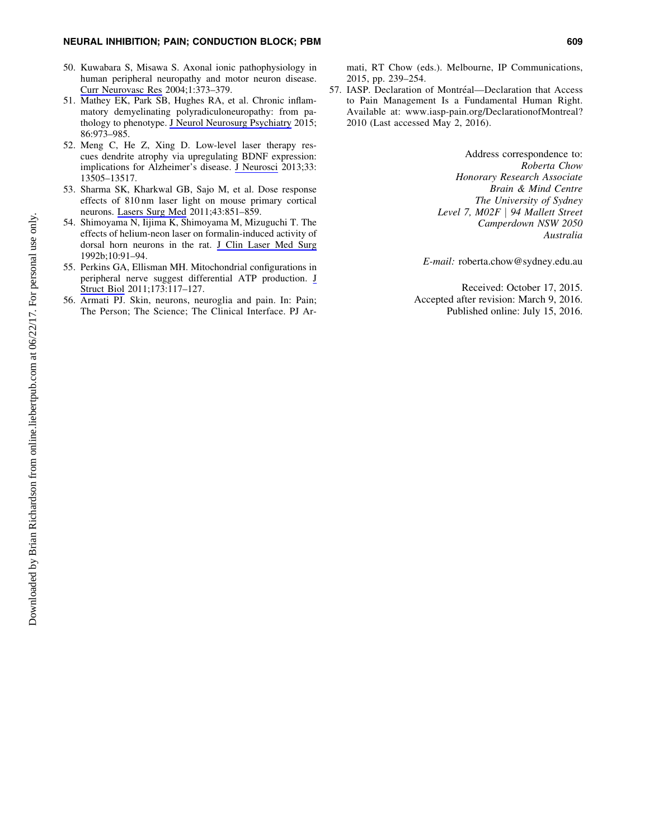- 51. Mathey EK, Park SB, Hughes RA, et al. Chronic inflammatory demyelinating polyradiculoneuropathy: from pa-thology to phenotype. [J Neurol Neurosurg Psychiatry](http://online.liebertpub.com/action/showLinks?doi=10.1089%2Fpho.2015.4048&pmid=25677463&crossref=10.1136%2Fjnnp-2014-309697&citationId=p_152) 2015; 86:973–985.
- 52. Meng C, He Z, Xing D. Low-level laser therapy rescues dendrite atrophy via upregulating BDNF expression: implications for Alzheimer's disease. [J Neurosci](http://online.liebertpub.com/action/showLinks?doi=10.1089%2Fpho.2015.4048&pmid=23946409&crossref=10.1523%2FJNEUROSCI.0918-13.2013&citationId=p_153) 2013;33: 13505–13517.
- 53. Sharma SK, Kharkwal GB, Sajo M, et al. Dose response effects of 810 nm laser light on mouse primary cortical neurons. [Lasers Surg Med](http://online.liebertpub.com/action/showLinks?doi=10.1089%2Fpho.2015.4048&pmid=21956634&crossref=10.1002%2Flsm.21100&citationId=p_154) 2011;43:851–859.
- 54. Shimoyama N, Iijima K, Shimoyama M, Mizuguchi T. The effects of helium-neon laser on formalin-induced activity of dorsal horn neurons in the rat. [J Clin Laser Med Surg](http://online.liebertpub.com/action/showLinks?doi=10.1089%2Fpho.2015.4048&system-d=10.1089%2Fclm.1992.10.91&citationId=p_155) 1992b;10:91–94.
- 55. Perkins GA, Ellisman MH. Mitochondrial configurations in peripheral nerve suggest differential ATP production. [J](http://online.liebertpub.com/action/showLinks?doi=10.1089%2Fpho.2015.4048&pmid=20600951&crossref=10.1016%2Fj.jsb.2010.06.017&citationId=p_156) [Struct Biol](http://online.liebertpub.com/action/showLinks?doi=10.1089%2Fpho.2015.4048&pmid=20600951&crossref=10.1016%2Fj.jsb.2010.06.017&citationId=p_156) 2011;173:117–127.
- 56. Armati PJ. Skin, neurons, neuroglia and pain. In: Pain; The Person; The Science; The Clinical Interface. PJ Ar-

mati, RT Chow (eds.). Melbourne, IP Communications, 2015, pp. 239–254.

57. IASP. Declaration of Montréal—Declaration that Access to Pain Management Is a Fundamental Human Right. Available at: www.iasp-pain.org/DeclarationofMontreal? 2010 (Last accessed May 2, 2016).

> Address correspondence to: *Roberta Chow Honorary Research Associate Brain & Mind Centre The University of Sydney Level 7, M02F* j *94 Mallett Street Camperdown NSW 2050 Australia*

*E-mail:* roberta.chow@sydney.edu.au

Received: October 17, 2015. Accepted after revision: March 9, 2016. Published online: July 15, 2016.